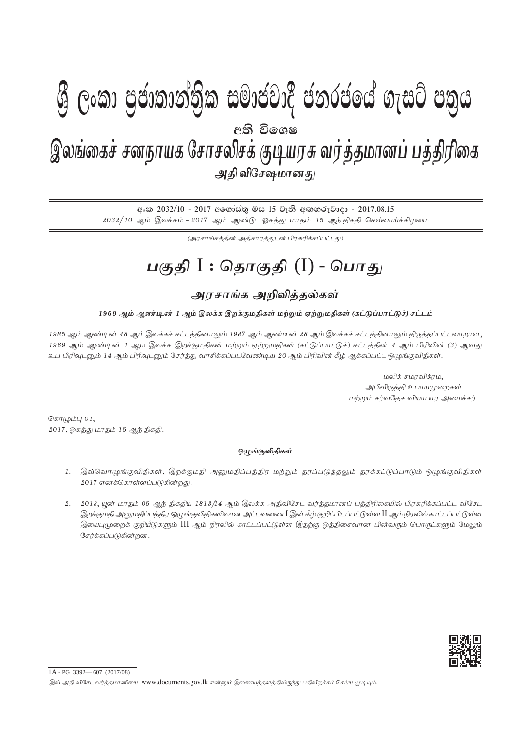## I **fldgi ( ^**I**& fPoh - YS% ,xld m%cd;dka;s%l iudcjd§ ckrcfha w;s úfYI .eiÜ m;%h - 2017'08'15** gFjp I : njhFjp (I) - ,yq;ifr; rdehaf Nrhryprf; FbauR tu;j;jkhdg; gj;jpupif - mjp tpNr\khdJ - 2017.08.15 <u>இலங்கைச் சனநாயக சோசல</u>சக குடியரசு வரத்தமானப் பத்துர்ணக அதி விசேஷமான*து*  $\mathcal{Y}$  ලංකා පියාතාතුතුක සමායයාද යනුරයගෙ බැසුර යනුග අති වි**ං**ශෂ

අංක 2032/10 - 2017 අගෝස්තු මස 15 වැනි අඟහරුවාදා - 2017.08.15  $2032/10$  ஆம் இலக்கம் - 2017 ஆம் ஆண்டு ஓகத்து மாதம் 15 ஆந்திகதி செவ்வாய்க்கிழமை

 $(\mathcal{A}$ ரசாங்கத்தின் அதிகாரத்துடன் பிரசுரிக்கப்பட்டது)

## <u>பகுதி</u> I : தொகுதி (I) - பொது

## <u>அரசாங்க அறிவிக்க</u>ல்கள்

1969 ஆம் ஆண்டின் 1 ஆம் இலக்க இறக்குமதிகள் மற்றும் ஏற்றுமதிகள் (கட்டுப்பாட்டுச்) சட்டம்

1985 ஆம் ஆண்டின் 48 ஆம் இலக்கச் சட்டத்தினாலும் 1987 ஆம் ஆண்டின் 28 ஆம் இலக்கச் சட்டத்தினாலும் திருத்தப்பட்டவாறான, 1969 ஆம் ஆண்டின் 1 ஆம் இலக்க இறக்குமதிகள் மற்றும் ஏற்றுமதிகள் (கட்டுப்பாட்டுச்) சட்டத்தின் 4 ஆம் பிரிவின் (3) ஆவது உப பிரிவுடனும் 14 ஆம் பிரிவுடனும் சேர்த்து வாசிக்கப்படவேண்டிய 20 ஆம் பிரிவின் கீழ் ஆக்கப்பட்ட ஒழுங்குவிதிகள்.

> மலிக் சமரவிக்ரம, அபிவிருத்தி உபாயமுறைகள் மற்றும் சர்வதேச வியாபார அமைச்சர்.

கொழும்பு $01$ ,  $2017$ , ஓகத்து மாதம்  $15$  ஆந் திகதி.

## ஒழுங்குவிதிகள்

- 1. இவ்வொழுங்குவிதிகள், இறக்குமதி அனுமதிப்பத்திர மற்றும் தரப்படுத்தலும் தரக்கட்டுப்பாடும் ஒழுங்குவிதிகள் 2017 எனக்கொள்ளப்படுகின்றது.
- 2. 2013, யூன் மாதம் 05 ஆந் திகதிய 1813/14 ஆம் இலக்க அதிவிசேட வர்த்தமானப் பத்திரிகையில் பிரசுரிக்கப்பட்ட விசேட இறக்குமதி அனுமதிப்பத்திர ஒழுங்குவிதிகளிலான அட்டவணை  $\rm I$ இன் கீழ் குறிப்பிடப்பட்டுள்ள  $\rm II$  ஆம் நிரலில் காட்டப்பட்டுள்ள இயைபுமுறைக் குறியீடுகளும் III ஆம் நிரலில் காட்டப்பட்டுள்ள இதற்கு ஒத்திசைவான பின்வரும் பொருட்களும் மேலும் சேர்க்கப்படுகின்றன.



1A - PG 3392— 607 (2017/08)

இவ் அதி விசேட வர்த்தமானியை www.documents.gov.lk என்னும் இணையத்தளத்திலிருந்து பதிவிறக்கம் செய்ய முடியும்.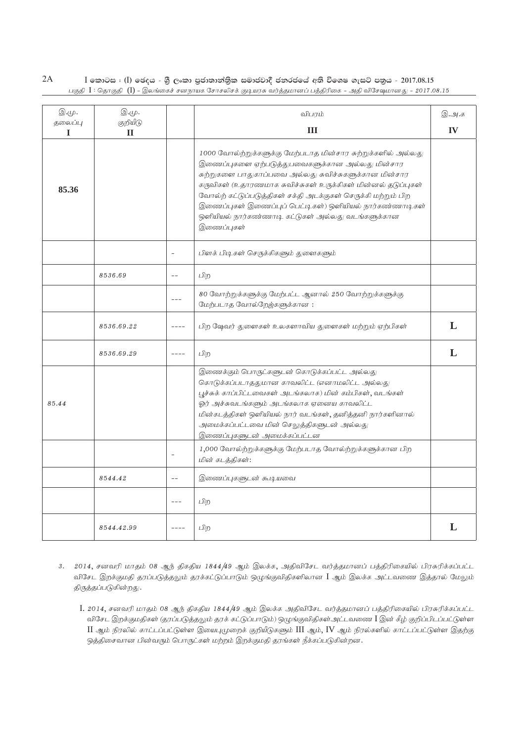$2A$  $I$  කොටස $I$  ( $I$ ) ඡෙදය - ශුී ලංකා පුජාතාන්තිුක සමාජවාදී ජනරජයේ අති විශෙෂ ගැසට් පතුය - 2017.08.15 பகுதி  $\rm{I}$  : தொகுதி ( $\rm{I})$  - இலங்கைச் சனநாயக சோசலிசக் குடியரசு வர்த்தமானப் பத்திரிகை – அதி விசேஷமானது – 2017.08.15

| இ.மு.        | இ.மு.                    |                          | விபாம்                                                                                                                                                                                                                                                                                                                                                                                                                                  |    |
|--------------|--------------------------|--------------------------|-----------------------------------------------------------------------------------------------------------------------------------------------------------------------------------------------------------------------------------------------------------------------------------------------------------------------------------------------------------------------------------------------------------------------------------------|----|
| தலைப்பு<br>I | குறியீடு<br>$\mathbf{H}$ |                          | Ш                                                                                                                                                                                                                                                                                                                                                                                                                                       | IV |
| 85.36        |                          |                          | 1000 வோல்ற்றுக்களுக்கு மேற்படாத மின்சார சுற்றுக்களில் அல்லது<br>இணைப்புகளை ஏற்படுத்துபவைகளுக்கான அல்லது மின்சார<br>சுற்றுகளை பாதுகாப்பவை அல்லது சுவிச்சுகளுக்கான மின்சார<br>கருவிகள் (உதாரணமாக சுவிச்சுகள் உருக்கிகள் மின்னல் தடுப்புகள்<br>வோல்ற் கட்டுப்படுத்திகள் சக்தி அடக்குகள் செருக்கி மற்றும் பிற<br>இணைப்புகள் இணைப்புப் பெட்டிகள்) ஒளியியல் நார்கண்ணாடிகள்<br>ஒளியியல் நார்கண்ணாடி கட்டுகள் அல்லது வடங்களுக்கான<br>இணைப்புகள் |    |
|              |                          | $\overline{\phantom{a}}$ | பிளக் பிடிகள் செருக்கிகளும் துளைகளும்                                                                                                                                                                                                                                                                                                                                                                                                   |    |
|              | 8536.69                  | $-$                      | பிற                                                                                                                                                                                                                                                                                                                                                                                                                                     |    |
|              |                          | $- - -$                  | 80 வோற்றுக்களுக்கு மேற்பட்ட ஆனால் 250 வோற்றுக்களுக்கு<br>மேற்படாத வோல்றேஜ்களுக்கான:                                                                                                                                                                                                                                                                                                                                                     |    |
|              | 8536.69.22               | $- - - -$                | பிற ஷேவர் துளைகள் உலகளாவிய துளைகள் மற்றும் ஏற்பிகள்                                                                                                                                                                                                                                                                                                                                                                                     | L  |
|              | 8536.69.29               | $\cdots$                 | பிற                                                                                                                                                                                                                                                                                                                                                                                                                                     | L  |
| 85.44        |                          |                          | இணைக்கும் பொருட்களுடன் கொடுக்கப்பட்ட அல்லது<br>கொடுக்கப்படாததுமான காவலிட்ட (எனாமலிட்ட அல்லது<br>பூச்சுக் காப்பிட்டவைகள் அடங்கலாக) மின் கம்பிகள், வடங்கள்<br>ஓர் அச்சுவடங்களும் அடங்கலாக ஏனைய காவலிட்ட<br>மின்கடத்திகள் ஒளியியல் நார் வடங்கள், தனித்தனி நார்களினால்<br>அமைக்கப்பட்டவை மின் செலுத்திகளுடன் அல்லது<br>இணைப்புகளுடன் அமைக்கப்பட்டன                                                                                          |    |
|              |                          | $\overline{\phantom{a}}$ | 1,000 வோல்ற்றுக்களுக்கு மேற்படாத வோல்ற்றுக்களுக்கான பிற<br>மின் கடத்திகள்:                                                                                                                                                                                                                                                                                                                                                              |    |
|              | 8544.42                  | $-$                      | இணைப்புகளுடன் கூடியவை                                                                                                                                                                                                                                                                                                                                                                                                                   |    |
|              |                          | $\frac{1}{2}$            | பிற                                                                                                                                                                                                                                                                                                                                                                                                                                     |    |
|              | 8544.42.99               | $- - - -$                | பிற                                                                                                                                                                                                                                                                                                                                                                                                                                     | L  |

- 3. 2014, சனவரி மாதம் 08 ஆந் திகதிய 1844/49 ஆம் இலக்க, அதிவிசேட வர்த்தமானப் பத்திரிகையில் பிரசுரிக்கப்பட்ட விசேட இறக்குமதி தரப்படுத்தலும் தரக்கட்டுப்பாடும் ஒழுங்குவிதிகளிலான I ஆம் இலக்க அட்டவணை இத்தால் மேலும் திருத்தப்படுகின்றது.
	- I. 2014, சனவரி மாதம் 08 ஆந் திகதிய 1844/49 ஆம் இலக்க அதிவிசேட வர்த்தமானப் பத்திரிகையில் பிரசுரிக்கப்பட்ட விசேட இறக்குமதிகள் (தரப்படுத்தலும் தரக் கட்டுப்பாடும்) ஒழுங்குவிதிகள்அட்டவணை I இன் கீழ் குறிப்பிடப்பட்டுள்ள  $\rm{II}$  ஆம் நிரலில் காட்டப்பட்டுள்ள இயைபுமுறைக் குறியீடுகளும்  $\rm{III}$  ஆம்,  $\rm{IV}$  ஆம் நிரல்களில் காட்டப்பட்டுள்ள இதற்கு ஒத்திசைவான பின்வரும் பொருட்கள் மற்றம் இறக்குமதி தரங்கள் நீக்கப்படுகின்றன.